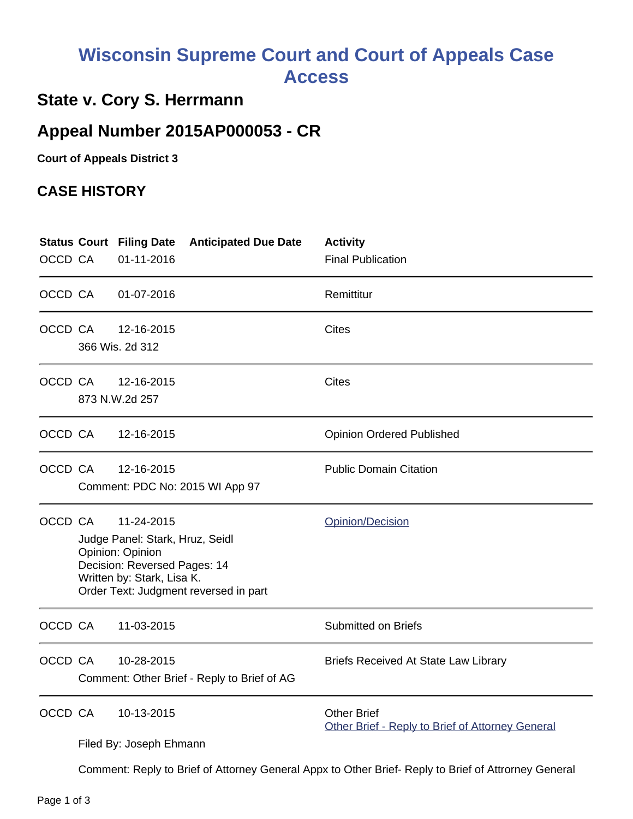## **Wisconsin Supreme Court and Court of Appeals Case Access**

## **State v. Cory S. Herrmann**

## **Appeal Number 2015AP000053 - CR**

**Court of Appeals District 3**

## **CASE HISTORY**

| OCCD CA |                                                                                                      | <b>Anticipated Due Date</b><br><b>Status Court Filing Date</b><br>01-11-2016                                                                                             | <b>Activity</b><br><b>Final Publication</b>                            |
|---------|------------------------------------------------------------------------------------------------------|--------------------------------------------------------------------------------------------------------------------------------------------------------------------------|------------------------------------------------------------------------|
| OCCD CA |                                                                                                      | 01-07-2016                                                                                                                                                               | Remittitur                                                             |
| OCCD CA |                                                                                                      | 12-16-2015<br>366 Wis. 2d 312                                                                                                                                            | Cites                                                                  |
| OCCD CA |                                                                                                      | 12-16-2015<br>873 N.W.2d 257                                                                                                                                             | Cites                                                                  |
| OCCD CA |                                                                                                      | 12-16-2015                                                                                                                                                               | <b>Opinion Ordered Published</b>                                       |
| OCCD CA |                                                                                                      | 12-16-2015<br>Comment: PDC No: 2015 WI App 97                                                                                                                            | <b>Public Domain Citation</b>                                          |
| OCCD CA |                                                                                                      | 11-24-2015<br>Judge Panel: Stark, Hruz, Seidl<br>Opinion: Opinion<br>Decision: Reversed Pages: 14<br>Written by: Stark, Lisa K.<br>Order Text: Judgment reversed in part | Opinion/Decision                                                       |
| OCCD CA |                                                                                                      | 11-03-2015                                                                                                                                                               | <b>Submitted on Briefs</b>                                             |
| OCCD CA |                                                                                                      | 10-28-2015<br>Comment: Other Brief - Reply to Brief of AG                                                                                                                | <b>Briefs Received At State Law Library</b>                            |
| OCCD CA |                                                                                                      | 10-13-2015<br>Filed By: Joseph Ehmann                                                                                                                                    | <b>Other Brief</b><br>Other Brief - Reply to Brief of Attorney General |
|         | Comment: Reply to Brief of Attorney General Appx to Other Brief- Reply to Brief of Attrorney General |                                                                                                                                                                          |                                                                        |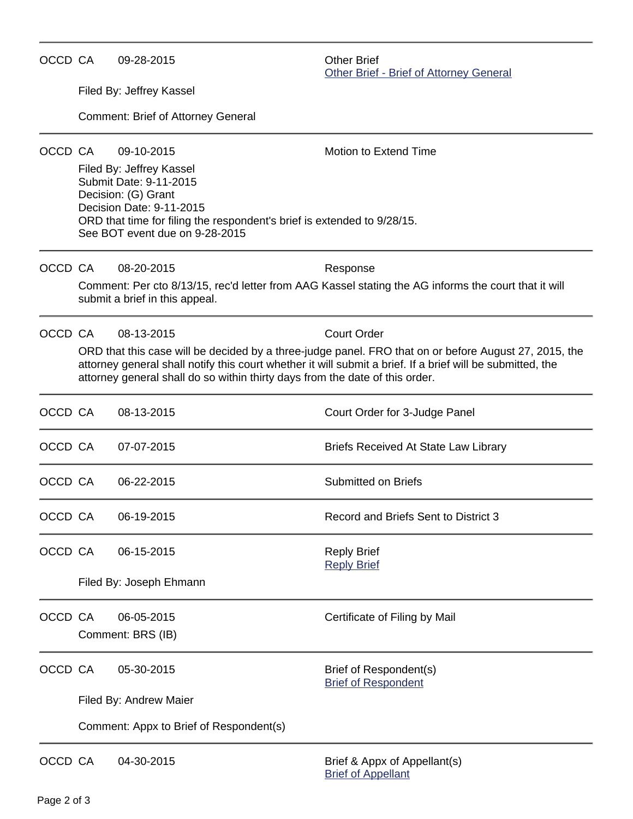| OCCD CA |                                                                                                                                                                                                                                                                                                     | 09-28-2015                                                                                                                                                                                                         | <b>Other Brief</b><br>Other Brief - Brief of Attorney General                                                    |  |  |
|---------|-----------------------------------------------------------------------------------------------------------------------------------------------------------------------------------------------------------------------------------------------------------------------------------------------------|--------------------------------------------------------------------------------------------------------------------------------------------------------------------------------------------------------------------|------------------------------------------------------------------------------------------------------------------|--|--|
|         |                                                                                                                                                                                                                                                                                                     | Filed By: Jeffrey Kassel                                                                                                                                                                                           |                                                                                                                  |  |  |
|         |                                                                                                                                                                                                                                                                                                     | <b>Comment: Brief of Attorney General</b>                                                                                                                                                                          |                                                                                                                  |  |  |
| OCCD CA |                                                                                                                                                                                                                                                                                                     | 09-10-2015                                                                                                                                                                                                         | Motion to Extend Time                                                                                            |  |  |
|         |                                                                                                                                                                                                                                                                                                     | Filed By: Jeffrey Kassel<br>Submit Date: 9-11-2015<br>Decision: (G) Grant<br>Decision Date: 9-11-2015<br>ORD that time for filing the respondent's brief is extended to 9/28/15.<br>See BOT event due on 9-28-2015 |                                                                                                                  |  |  |
| OCCD CA |                                                                                                                                                                                                                                                                                                     | 08-20-2015<br>submit a brief in this appeal.                                                                                                                                                                       | Response<br>Comment: Per cto 8/13/15, rec'd letter from AAG Kassel stating the AG informs the court that it will |  |  |
| OCCD CA |                                                                                                                                                                                                                                                                                                     | 08-13-2015                                                                                                                                                                                                         | <b>Court Order</b>                                                                                               |  |  |
|         | ORD that this case will be decided by a three-judge panel. FRO that on or before August 27, 2015, the<br>attorney general shall notify this court whether it will submit a brief. If a brief will be submitted, the<br>attorney general shall do so within thirty days from the date of this order. |                                                                                                                                                                                                                    |                                                                                                                  |  |  |
| OCCD CA |                                                                                                                                                                                                                                                                                                     | 08-13-2015                                                                                                                                                                                                         | Court Order for 3-Judge Panel                                                                                    |  |  |
| OCCD CA |                                                                                                                                                                                                                                                                                                     | 07-07-2015                                                                                                                                                                                                         | <b>Briefs Received At State Law Library</b>                                                                      |  |  |
| OCCD CA |                                                                                                                                                                                                                                                                                                     | 06-22-2015                                                                                                                                                                                                         | Submitted on Briefs                                                                                              |  |  |
| OCCD CA |                                                                                                                                                                                                                                                                                                     | 06-19-2015                                                                                                                                                                                                         | Record and Briefs Sent to District 3                                                                             |  |  |
| OCCD CA |                                                                                                                                                                                                                                                                                                     | 06-15-2015                                                                                                                                                                                                         | <b>Reply Brief</b><br><b>Reply Brief</b>                                                                         |  |  |
|         | Filed By: Joseph Ehmann                                                                                                                                                                                                                                                                             |                                                                                                                                                                                                                    |                                                                                                                  |  |  |
| OCCD CA |                                                                                                                                                                                                                                                                                                     | 06-05-2015<br>Comment: BRS (IB)                                                                                                                                                                                    | Certificate of Filing by Mail                                                                                    |  |  |
| OCCD CA |                                                                                                                                                                                                                                                                                                     | 05-30-2015                                                                                                                                                                                                         | Brief of Respondent(s)<br><b>Brief of Respondent</b>                                                             |  |  |
|         | Filed By: Andrew Maier                                                                                                                                                                                                                                                                              |                                                                                                                                                                                                                    |                                                                                                                  |  |  |
|         | Comment: Appx to Brief of Respondent(s)                                                                                                                                                                                                                                                             |                                                                                                                                                                                                                    |                                                                                                                  |  |  |
| OCCD CA |                                                                                                                                                                                                                                                                                                     | 04-30-2015                                                                                                                                                                                                         | Brief & Appx of Appellant(s)<br><b>Brief of Appellant</b>                                                        |  |  |